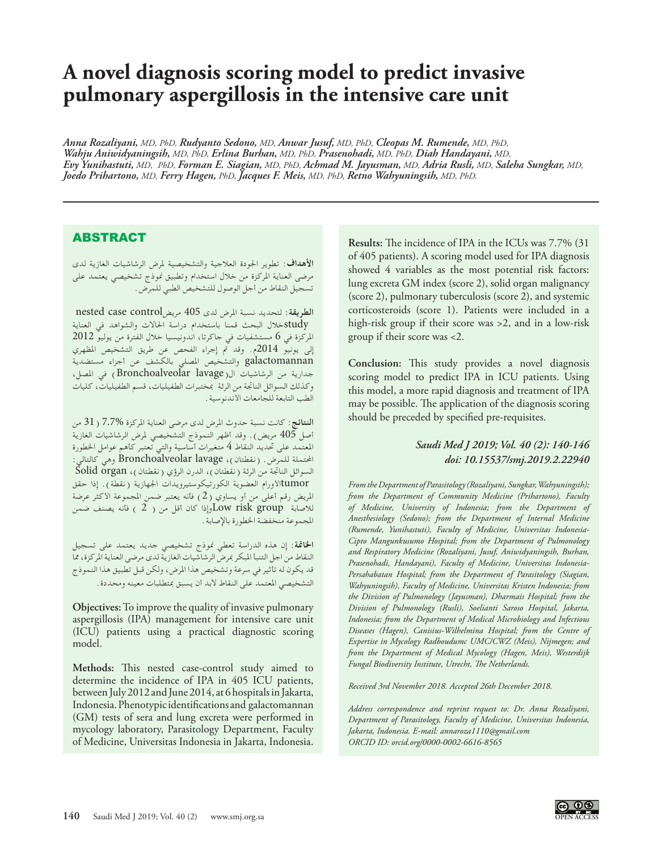# **A novel diagnosis scoring model to predict invasive pulmonary aspergillosis in the intensive care unit**

*Anna Rozaliyani, MD, PhD, Rudyanto Sedono, MD, Anwar Jusuf, MD, PhD, Cleopas M. Rumende, MD, PhD, Wahju Aniwidyaningsih, MD, PhD, Erlina Burhan, MD, PhD, Prasenohadi, MD, PhD, Diah Handayani, MD, Evy Yunihastuti, MD, PhD, Forman E. Siagian, MD, PhD, Achmad M. Jayusman, MD, Adria Rusli, MD, Saleha Sungkar, MD, Joedo Prihartono, MD, Ferry Hagen, PhD, Jacques F. Meis, MD, PhD, Retno Wahyuningsih, MD, PhD.*

## ABSTRACT

**األهداف**: تطوير اجلودة العالجية والتشخيصية ملرض الرشاشيات الغازية لدى مرضى العناية املركزة من خالل استخدام وتطبيق منوذج تشخيصي يعتمد على تسجيل النقاط من أجل الوصول للتشخيص الطبي للمرض.

**الطريقة**: لتحديد نسبة املرض لدى 405 مريضcontrol case nested خلال البحث قمنا باستخدام دراسة الحالات والشواهد في العناية $\text{study}$ املركزة في 6 مستشفيات في جاكرتا، اندونيسيا خالل الفترة من يوليو 2012 إلى يونيو 2014م. وقد مت إجراء الفحص عن طريق التشخيص املظهري galactomannan والتشخيص املصلي بالكشف عن أجزاء مستضدية جدارية من الرشاشيات ال(lavage Bronchoalveolar (في املصل, وكذلك الـسوائل الناجتة من الرئة مبختبرات الطفيليات، قسم الطفيليات، كليات الطب التابعة للجامعات األندنوسية.

**النتائج**: كانت نسبة حدوث املرض لدى مرضى العناية املركزة 7.7% )31 من أصل  $405$  مريض). وقد أظهر النموذج التشخيصي لمرض الرشاشيات الغازية املعتمد على حتديد النقاط 4 متغيرات أساسية والتي تعتبر كأهم عوامل اخلطورة احملتملة للمرض. )نقطتان(, lavage Bronchoalveolar وهي كالتالي: السوائل الناتجة من الرئة ( نقطتان )، الدرن الرؤي ( نقطتان ) ، Solid organ tumorالأورام العضوية الكورتيكوستيرويدات الجهازية (نقطة). إذا حقق املريض رقم أعلى من أو يساوي )2( فأنه يعتبر ضمن املجموعة األكثر عرضة للاصابة Low risk group وإذا كان أقل من ( 2 ) فأنه يصنف ضمن املجموعة منخفضة اخلطورة باإلصابة.

**اخلامتة**: إن هذه الدراسة تعطي منوذج تشخيصي جديد يعتمد على تسجيل النقاط من اجل التنبأ املبكر مبرض الرشاشيات الغازية لدى مرضى العناية املركزة, مما قد يكون له تأثير في سرعة وتشخيص هذا املرض, ولكن قبل تطبيق هذا النموذج التشخيصي المعتمد على النقاط لابد أن يسبق بمتطلبات معينه ومحددة.

**Objectives:** To improve the quality of invasive pulmonary aspergillosis (IPA) management for intensive care unit (ICU) patients using a practical diagnostic scoring model.

**Methods:** This nested case-control study aimed to determine the incidence of IPA in 405 ICU patients, between July 2012 and June 2014, at 6 hospitals in Jakarta, Indonesia. Phenotypic identifications and galactomannan (GM) tests of sera and lung excreta were performed in mycology laboratory, Parasitology Department, Faculty of Medicine, Universitas Indonesia in Jakarta, Indonesia.

**Results:** The incidence of IPA in the ICUs was 7.7% (31 of 405 patients). A scoring model used for IPA diagnosis showed 4 variables as the most potential risk factors: lung excreta GM index (score 2), solid organ malignancy (score 2), pulmonary tuberculosis (score 2), and systemic corticosteroids (score 1). Patients were included in a high-risk group if their score was >2, and in a low-risk group if their score was <2.

**Conclusion:** This study provides a novel diagnosis scoring model to predict IPA in ICU patients. Using this model, a more rapid diagnosis and treatment of IPA may be possible. The application of the diagnosis scoring should be preceded by specified pre-requisites.

## *Saudi Med J 2019; Vol. 40 (2): 140-146 doi: 10.15537/smj.2019.2.22940*

*From the Department of Parasitology (Rozaliyani, Sungkar, Wahyuningsih); from the Department of Community Medicine (Prihartono), Faculty of Medicine, University of Indonesia; from the Department of Anesthesiology (Sedono); from the Department of Internal Medicine (Rumende, Yunihastuti), Faculty of Medicine, Universitas Indonesia-Cipto Mangunkusumo Hospital; from the Department of Pulmonology and Respiratory Medicine (Rozaliyani, Jusuf, Aniwidyaningsih, Burhan, Prasenohadi, Handayani), Faculty of Medicine, Universitas Indonesia-Persahabatan Hospital; from the Department of Parasitology (Siagian, Wahyuningsih), Faculty of Medicine, Universitas Kristen Indonesia; from the Division of Pulmonology (Jayusman), Dharmais Hospital; from the Division of Pulmonology (Rusli), Soelianti Saroso Hospital, Jakarta, Indonesia; from the Department of Medical Microbiology and Infectious Diseases (Hagen), Canisius-Wilhelmina Hospital; from the Centre of Expertise in Mycology Radboudumc UMC/CWZ (Meis), Nijmegen; and from the Department of Medical Mycology (Hagen, Meis), Westerdijk Fungal Biodiversity Institute, Utrecht, The Netherlands.*

*Received 3rd November 2018. Accepted 26th December 2018.*

*Address correspondence and reprint request to: Dr. Anna Rozaliyani, Department of Parasitology, Faculty of Medicine, Universitas Indonesia, Jakarta, Indonesia. E-mail: annaroza1110@gmail.com ORCID ID: orcid.org/0000-0002-6616-8565*

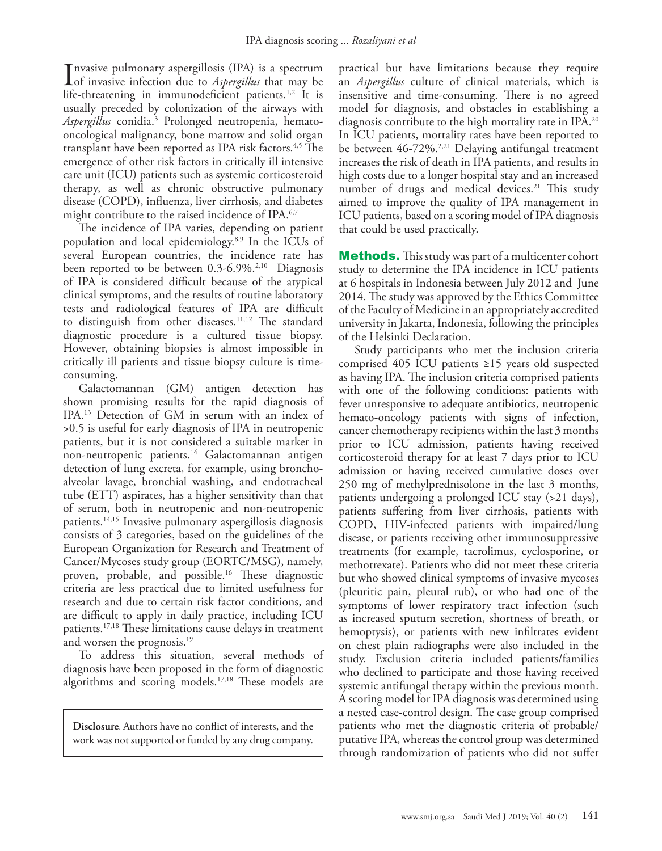Invasive pulmonary aspergillosis (IPA) is a spectrum<br>of invasive infection due to *Aspergillus* that may be<br>life threatening in immunodeficient patients <sup>12</sup> It is nvasive pulmonary aspergillosis (IPA) is a spectrum life-threatening in immunodeficient patients.<sup>1,[2](#page-5-1)</sup> It is usually preceded by colonization of the airways with *Aspergillus* conidia.[3](#page-5-2) Prolonged neutropenia, hematooncological malignancy, bone marrow and solid organ transplant have been reported as IPA risk factors.<sup>[4,](#page-5-3)5</sup> The emergence of other risk factors in critically ill intensive care unit (ICU) patients such as systemic corticosteroid therapy, as well as chronic obstructive pulmonary disease (COPD), influenza, liver cirrhosis, and diabetes might contribute to the raised incidence of IPA.<sup>[6](#page-5-5),[7](#page-5-6)</sup>

The incidence of IPA varies, depending on patient population and local epidemiology.[8](#page-5-7),[9](#page-5-8) In the ICUs of several European countries, the incidence rate has been reported to be between 0.3-6.9%.<sup>2[,10](#page-5-9)</sup> Diagnosis of IPA is considered difficult because of the atypical clinical symptoms, and the results of routine laboratory tests and radiological features of IPA are difficult to distinguish from other diseases.<sup>[11,](#page-5-10)12</sup> The standard diagnostic procedure is a cultured tissue biopsy. However, obtaining biopsies is almost impossible in critically ill patients and tissue biopsy culture is timeconsuming.

Galactomannan (GM) antigen detection has shown promising results for the rapid diagnosis of IPA.[13](#page-5-12) Detection of GM in serum with an index of >0.5 is useful for early diagnosis of IPA in neutropenic patients, but it is not considered a suitable marker in non-neutropenic patients.<sup>14</sup> Galactomannan antigen detection of lung excreta, for example, using bronchoalveolar lavage, bronchial washing, and endotracheal tube (ETT) aspirates, has a higher sensitivity than that of serum, both in neutropenic and non-neutropenic patients.[14](#page-5-13),[15](#page-5-14) Invasive pulmonary aspergillosis diagnosis consists of 3 categories, based on the guidelines of the European Organization for Research and Treatment of Cancer/Mycoses study group (EORTC/MSG), namely, proven, probable, and possible[.16](#page-5-15) These diagnostic criteria are less practical due to limited usefulness for research and due to certain risk factor conditions, and are difficult to apply in daily practice, including ICU patients.[17](#page-5-16),[18](#page-5-17) These limitations cause delays in treatment and worsen the prognosis.<sup>19</sup>

To address this situation, several methods of diagnosis have been proposed in the form of diagnostic algorithms and scoring models[.17](#page-5-16)[,18](#page-5-17) These models are

**Disclosure**. Authors have no conflict of interests, and the work was not supported or funded by any drug company.

practical but have limitations because they require an *Aspergillus* culture of clinical materials, which is insensitive and time-consuming. There is no agreed model for diagnosis, and obstacles in establishing a diagnosis contribute to the high mortality rate in IPA.<sup>20</sup> In ICU patients, mortality rates have been reported to be between  $46-72\%$ <sup>2,[21](#page-5-20)</sup> Delaying antifungal treatment increases the risk of death in IPA patients, and results in high costs due to a longer hospital stay and an increased number of drugs and medical devices.<sup>[21](#page-5-20)</sup> This study aimed to improve the quality of IPA management in ICU patients, based on a scoring model of IPA diagnosis that could be used practically.

**Methods.** This study was part of a multicenter cohort study to determine the IPA incidence in ICU patients at 6 hospitals in Indonesia between July 2012 and June 2014. The study was approved by the Ethics Committee of the Faculty of Medicine in an appropriately accredited university in Jakarta, Indonesia, following the principles of the Helsinki Declaration.

Study participants who met the inclusion criteria comprised 405 ICU patients ≥15 years old suspected as having IPA. The inclusion criteria comprised patients with one of the following conditions: patients with fever unresponsive to adequate antibiotics, neutropenic hemato-oncology patients with signs of infection, cancer chemotherapy recipients within the last 3 months prior to ICU admission, patients having received corticosteroid therapy for at least 7 days prior to ICU admission or having received cumulative doses over 250 mg of methylprednisolone in the last 3 months, patients undergoing a prolonged ICU stay (>21 days), patients suffering from liver cirrhosis, patients with COPD, HIV-infected patients with impaired/lung disease, or patients receiving other immunosuppressive treatments (for example, tacrolimus, cyclosporine, or methotrexate). Patients who did not meet these criteria but who showed clinical symptoms of invasive mycoses (pleuritic pain, pleural rub), or who had one of the symptoms of lower respiratory tract infection (such as increased sputum secretion, shortness of breath, or hemoptysis), or patients with new infiltrates evident on chest plain radiographs were also included in the study. Exclusion criteria included patients/families who declined to participate and those having received systemic antifungal therapy within the previous month. A scoring model for IPA diagnosis was determined using a nested case-control design. The case group comprised patients who met the diagnostic criteria of probable/ putative IPA, whereas the control group was determined through randomization of patients who did not suffer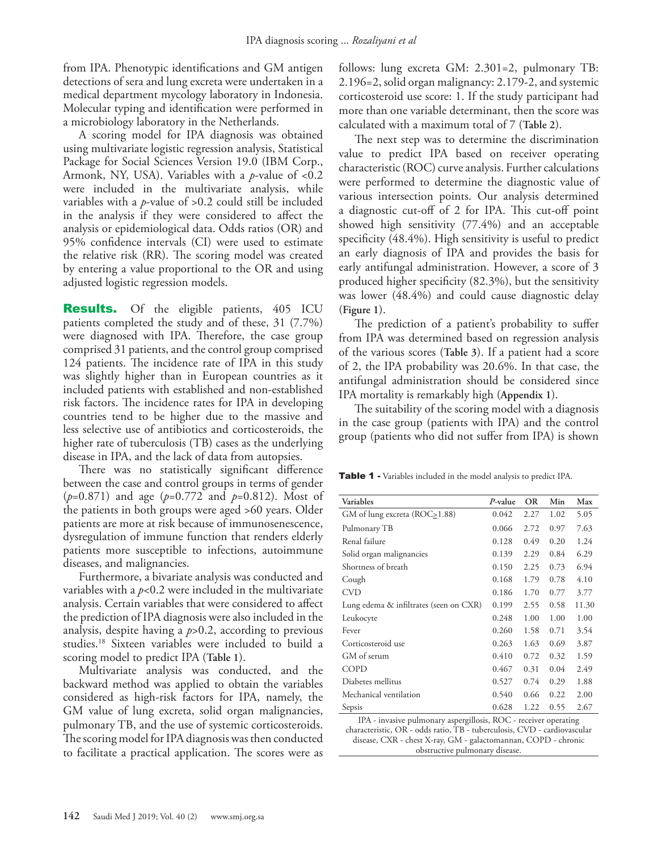from IPA. Phenotypic identifications and GM antigen detections of sera and lung excreta were undertaken in a medical department mycology laboratory in Indonesia. Molecular typing and identification were performed in a microbiology laboratory in the Netherlands.

A scoring model for IPA diagnosis was obtained using multivariate logistic regression analysis, Statistical Package for Social Sciences Version 19.0 (IBM Corp., Armonk, NY, USA). Variables with a *p*-value of <0.2 were included in the multivariate analysis, while variables with a *p*-value of >0.2 could still be included in the analysis if they were considered to affect the analysis or epidemiological data. Odds ratios (OR) and 95% confidence intervals (CI) were used to estimate the relative risk (RR). The scoring model was created by entering a value proportional to the OR and using adjusted logistic regression models.

**Results.** Of the eligible patients, 405 ICU patients completed the study and of these, 31 (7.7%) were diagnosed with IPA. Therefore, the case group comprised 31 patients, and the control group comprised 124 patients. The incidence rate of IPA in this study was slightly higher than in European countries as it included patients with established and non-established risk factors. The incidence rates for IPA in developing countries tend to be higher due to the massive and less selective use of antibiotics and corticosteroids, the higher rate of tuberculosis (TB) cases as the underlying disease in IPA, and the lack of data from autopsies.

There was no statistically significant difference between the case and control groups in terms of gender (*p*=0.871) and age (*p*=0.772 and *p*=0.812). Most of the patients in both groups were aged >60 years. Older patients are more at risk because of immunosenescence, dysregulation of immune function that renders elderly patients more susceptible to infections, autoimmune diseases, and malignancies.

Furthermore, a bivariate analysis was conducted and variables with a *p*<0.2 were included in the multivariate analysis. Certain variables that were considered to affect the prediction of IPA diagnosis were also included in the analysis, despite having a *p*>0.2, according to previous studies[.18](#page-5-17) Sixteen variables were included to build a scoring model to predict IPA (**Table 1**).

Multivariate analysis was conducted, and the backward method was applied to obtain the variables considered as high-risk factors for IPA, namely, the GM value of lung excreta, solid organ malignancies, pulmonary TB, and the use of systemic corticosteroids. The scoring model for IPA diagnosis was then conducted to facilitate a practical application. The scores were as follows: lung excreta GM: 2.301=2, pulmonary TB: 2.196=2, solid organ malignancy: 2.179-2, and systemic corticosteroid use score: 1. If the study participant had more than one variable determinant, then the score was calculated with a maximum total of 7 (**Table 2**).

The next step was to determine the discrimination value to predict IPA based on receiver operating characteristic (ROC) curve analysis. Further calculations were performed to determine the diagnostic value of various intersection points. Our analysis determined a diagnostic cut-off of 2 for IPA. This cut-off point showed high sensitivity (77.4%) and an acceptable specificity (48.4%). High sensitivity is useful to predict an early diagnosis of IPA and provides the basis for early antifungal administration. However, a score of 3 produced higher specificity (82.3%), but the sensitivity was lower (48.4%) and could cause diagnostic delay (**Figure 1**).

The prediction of a patient's probability to suffer from IPA was determined based on regression analysis of the various scores (**Table 3**). If a patient had a score of 2, the IPA probability was 20.6%. In that case, the antifungal administration should be considered since IPA mortality is remarkably high (**Appendix 1**).

The suitability of the scoring model with a diagnosis in the case group (patients with IPA) and the control group (patients who did not suffer from IPA) is shown

Table 1 - Variables included in the model analysis to predict IPA.

| Variables                                  | P-value           | <b>OR</b> | Min  | Max   |
|--------------------------------------------|-------------------|-----------|------|-------|
| GM of lung excreta (ROC <sub>2</sub> 1.88) | 0.042             | 2.27      | 1.02 | 5.05  |
| Pulmonary TB                               | 0.066             | 2.72      | 0.97 | 7.63  |
| Renal failure                              | 0.128             | 0.49      | 0.20 | 1.24  |
| Solid organ malignancies                   | 0.139             | 2.29      | 0.84 | 6.29  |
| Shortness of breath                        | 0.150             | 2.25      | 0.73 | 6.94  |
| Cough                                      | 0.168             | 1.79      | 0.78 | 4.10  |
| <b>CVD</b>                                 | 0.186             | 1.70      | 0.77 | 3.77  |
| Lung edema & infiltrates (seen on CXR)     | 0.199             | 2.55      | 0.58 | 11.30 |
| Leukocyte                                  | 0.248             | 1.00      | 1.00 | 1.00  |
| Fever                                      | 0.260             | 1.58      | 0.71 | 3.54  |
| Corticosteroid use                         | 0.263             | 1.63      | 0.69 | 3.87  |
| GM of serum                                | 0.410             | 0.72      | 0.32 | 1.59  |
| COPD                                       | 0.467             | 0.31      | 0.04 | 2.49  |
| Diabetes mellitus                          | 0.527             | 0.74      | 0.29 | 1.88  |
| Mechanical ventilation                     | 0.540             | 0.66      | 0.22 | 2.00  |
| Sepsis                                     | 0.628             | 1.22      | 0.55 | 2.67  |
| $TDA \tcdot \tcdot \tcdot 1$<br>$-11 - 1$  | $n \wedge \wedge$ |           |      |       |

IPA - invasive pulmonary aspergillosis, ROC - receiver operating characteristic, OR - odds ratio, TB - tuberculosis, CVD - cardiovascular disease, CXR - chest X-ray, GM - galactomannan, COPD - chronic obstructive pulmonary disease.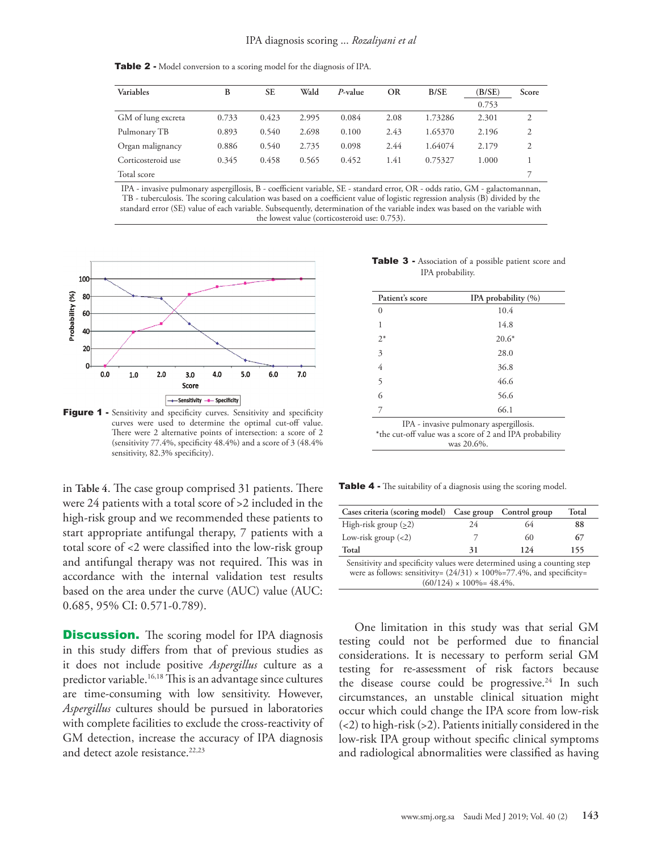Table 2 - Model conversion to a scoring model for the diagnosis of IPA.

| Variables          | В     | <b>SE</b> | Wald  | $P$ -value | OR   | B/SE    | (B/SE) | Score |
|--------------------|-------|-----------|-------|------------|------|---------|--------|-------|
|                    |       |           |       |            |      |         | 0.753  |       |
| GM of lung excreta | 0.733 | 0.423     | 2.995 | 0.084      | 2.08 | 1.73286 | 2.301  | 2     |
| Pulmonary TB       | 0.893 | 0.540     | 2.698 | 0.100      | 2.43 | 1.65370 | 2.196  | 2     |
| Organ malignancy   | 0.886 | 0.540     | 2.735 | 0.098      | 2.44 | 1.64074 | 2.179  | 2     |
| Corticosteroid use | 0.345 | 0.458     | 0.565 | 0.452      | 1.41 | 0.75327 | 1.000  |       |
| Total score        |       |           |       |            |      |         |        |       |

IPA - invasive pulmonary aspergillosis, B - coefficient variable, SE - standard error, OR - odds ratio, GM - galactomannan, TB - tuberculosis. The scoring calculation was based on a coefficient value of logistic regression analysis (B) divided by the standard error (SE) value of each variable. Subsequently, determination of the variable index was based on the variable with the lowest value (corticosteroid use: 0.753).



Figure 1 - Sensitivity and specificity curves. Sensitivity and specificity curves were used to determine the optimal cut-off value. There were 2 alternative points of intersection: a score of 2 (sensitivity 77.4%, specificity 48.4%) and a score of 3 (48.4% sensitivity, 82.3% specificity).

in **Table 4**. The case group comprised 31 patients. There were 24 patients with a total score of >2 included in the high-risk group and we recommended these patients to start appropriate antifungal therapy, 7 patients with a total score of <2 were classified into the low-risk group and antifungal therapy was not required. This was in accordance with the internal validation test results based on the area under the curve (AUC) value (AUC: 0.685, 95% CI: 0.571-0.789).

**Discussion.** The scoring model for IPA diagnosis in this study differs from that of previous studies as it does not include positive *Aspergillus* culture as a predictor variable.<sup>[16](#page-5-15),[18](#page-5-17)</sup> This is an advantage since cultures are time-consuming with low sensitivity. However, *Aspergillus* cultures should be pursued in laboratories with complete facilities to exclude the cross-reactivity of GM detection, increase the accuracy of IPA diagnosis and detect azole resistance.<sup>[22](#page-5-21),[23](#page-5-22)</sup>

Table 3 - Association of a possible patient score and IPA probability.

| Patient's score | IPA probability (%)                                                                                              |
|-----------------|------------------------------------------------------------------------------------------------------------------|
| 0               | 10.4                                                                                                             |
| 1               | 14.8                                                                                                             |
| $2^*$           | $20.6*$                                                                                                          |
| 3               | 28.0                                                                                                             |
| 4               | 36.8                                                                                                             |
| 5               | 46.6                                                                                                             |
| 6               | 56.6                                                                                                             |
| 7               | 66.1                                                                                                             |
|                 | IPA - invasive pulmonary aspergillosis.<br>*the cut-off value was a score of 2 and IPA probability<br>was 20.6%. |

Table 4 - The suitability of a diagnosis using the scoring model.

| Cases criteria (scoring model) Case group Control group                                                                                                      |                                    |      | Total |
|--------------------------------------------------------------------------------------------------------------------------------------------------------------|------------------------------------|------|-------|
| High-risk group $(2)$                                                                                                                                        | 24                                 | 64   | 88    |
| Low-risk group $(<2)$                                                                                                                                        |                                    | 60   | 67    |
| Total                                                                                                                                                        | 31                                 | 12.4 | 155   |
| Sensitivity and specificity values were determined using a counting step<br>were as follows: sensitivity= $(24/31) \times 100\% = 77.4\%$ , and specificity= | $(60/124) \times 100\% = 48.4\%$ . |      |       |

One limitation in this study was that serial GM testing could not be performed due to financial considerations. It is necessary to perform serial GM testing for re-assessment of risk factors because the disease course could be progressive.<sup>24</sup> In such circumstances, an unstable clinical situation might occur which could change the IPA score from low-risk  $(\leq 2)$  to high-risk  $(\geq 2)$ . Patients initially considered in the low-risk IPA group without specific clinical symptoms and radiological abnormalities were classified as having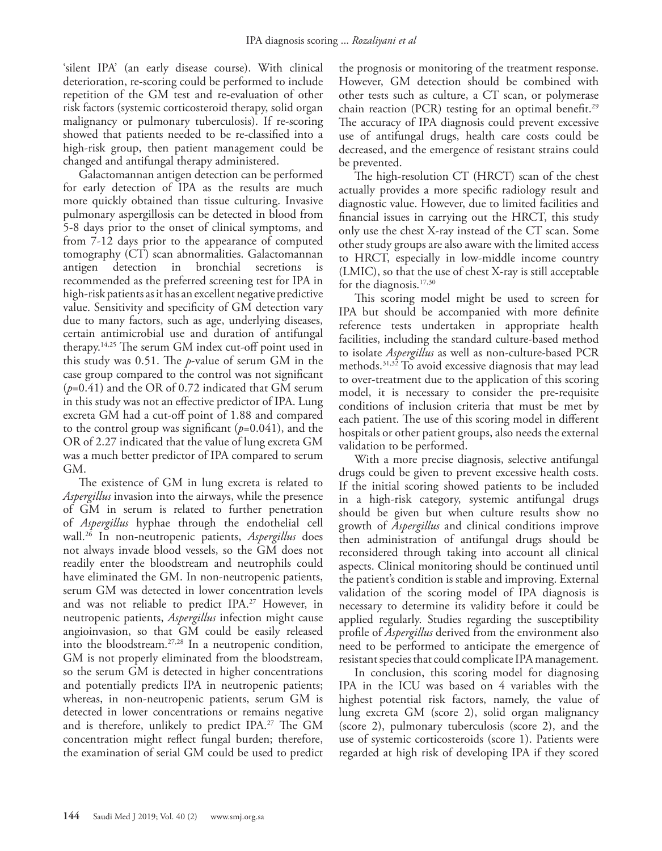'silent IPA' (an early disease course). With clinical deterioration, re-scoring could be performed to include repetition of the GM test and re-evaluation of other risk factors (systemic corticosteroid therapy, solid organ malignancy or pulmonary tuberculosis). If re-scoring showed that patients needed to be re-classified into a high-risk group, then patient management could be changed and antifungal therapy administered.

Galactomannan antigen detection can be performed for early detection of IPA as the results are much more quickly obtained than tissue culturing. Invasive pulmonary aspergillosis can be detected in blood from 5-8 days prior to the onset of clinical symptoms, and from 7-12 days prior to the appearance of computed tomography (CT) scan abnormalities. Galactomannan antigen detection in bronchial secretions is recommended as the preferred screening test for IPA in high-risk patients as it has an excellent negative predictive value. Sensitivity and specificity of GM detection vary due to many factors, such as age, underlying diseases, certain antimicrobial use and duration of antifungal therapy[.14](#page-5-13)[,25](#page-5-24) The serum GM index cut-off point used in this study was 0.51. The *p*-value of serum GM in the case group compared to the control was not significant (*p*=0.41) and the OR of 0.72 indicated that GM serum in this study was not an effective predictor of IPA. Lung excreta GM had a cut-off point of 1.88 and compared to the control group was significant (*p*=0.041), and the OR of 2.27 indicated that the value of lung excreta GM was a much better predictor of IPA compared to serum GM.

The existence of GM in lung excreta is related to *Aspergillus* invasion into the airways, while the presence of GM in serum is related to further penetration of *Aspergillus* hyphae through the endothelial cell wall.[26](#page-5-25) In non-neutropenic patients, *Aspergillus* does not always invade blood vessels, so the GM does not readily enter the bloodstream and neutrophils could have eliminated the GM. In non-neutropenic patients, serum GM was detected in lower concentration levels and was not reliable to predict IPA.<sup>[27](#page-5-26)</sup> However, in neutropenic patients, *Aspergillus* infection might cause angioinvasion, so that GM could be easily released into the bloodstream.[27](#page-5-26),[28](#page-5-27) In a neutropenic condition, GM is not properly eliminated from the bloodstream, so the serum GM is detected in higher concentrations and potentially predicts IPA in neutropenic patients; whereas, in non-neutropenic patients, serum GM is detected in lower concentrations or remains negative and is therefore, unlikely to predict IPA.<sup>27</sup> The GM concentration might reflect fungal burden; therefore, the examination of serial GM could be used to predict

the prognosis or monitoring of the treatment response. However, GM detection should be combined with other tests such as culture, a CT scan, or polymerase chain reaction (PCR) testing for an optimal benefit.<sup>29</sup> The accuracy of IPA diagnosis could prevent excessive use of antifungal drugs, health care costs could be decreased, and the emergence of resistant strains could be prevented.

The high-resolution CT (HRCT) scan of the chest actually provides a more specific radiology result and diagnostic value. However, due to limited facilities and financial issues in carrying out the HRCT, this study only use the chest X-ray instead of the CT scan. Some other study groups are also aware with the limited access to HRCT, especially in low-middle income country (LMIC), so that the use of chest X-ray is still acceptable for the diagnosis.<sup>17,30</sup>

This scoring model might be used to screen for IPA but should be accompanied with more definite reference tests undertaken in appropriate health facilities, including the standard culture-based method to isolate *Aspergillus* as well as non-culture-based PCR methods.31,32 To avoid excessive diagnosis that may lead to over-treatment due to the application of this scoring model, it is necessary to consider the pre-requisite conditions of inclusion criteria that must be met by each patient. The use of this scoring model in different hospitals or other patient groups, also needs the external validation to be performed.

With a more precise diagnosis, selective antifungal drugs could be given to prevent excessive health costs. If the initial scoring showed patients to be included in a high-risk category, systemic antifungal drugs should be given but when culture results show no growth of *Aspergillus* and clinical conditions improve then administration of antifungal drugs should be reconsidered through taking into account all clinical aspects. Clinical monitoring should be continued until the patient's condition is stable and improving. External validation of the scoring model of IPA diagnosis is necessary to determine its validity before it could be applied regularly. Studies regarding the susceptibility profile of *Aspergillus* derived from the environment also need to be performed to anticipate the emergence of resistant species that could complicate IPA management.

In conclusion, this scoring model for diagnosing IPA in the ICU was based on 4 variables with the highest potential risk factors, namely, the value of lung excreta GM (score 2), solid organ malignancy (score 2), pulmonary tuberculosis (score 2), and the use of systemic corticosteroids (score 1). Patients were regarded at high risk of developing IPA if they scored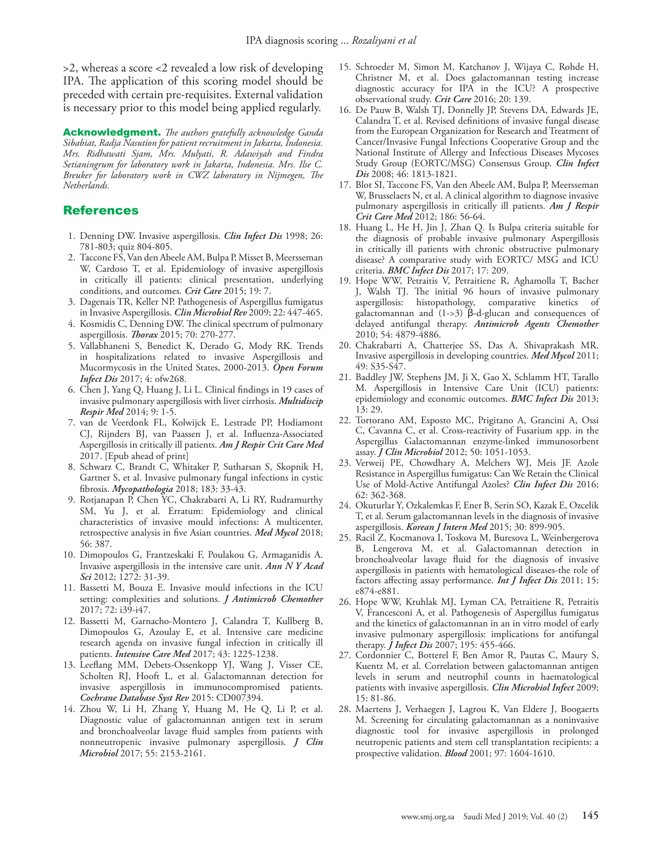>2, whereas a score <2 revealed a low risk of developing IPA. The application of this scoring model should be preceded with certain pre-requisites. External validation is necessary prior to this model being applied regularly.

Acknowledgment. *The authors gratefully acknowledge Ganda Sibabiat, Radja Nasution for patient recruitment in Jakarta, Indonesia. Mrs. Ridhawati Sjam, Mrs. Mulyati, R. Adawiyah and Findra Setianingrum for laboratory work in Jakarta, Indonesia. Mrs. Ilse C. Breuker for laboratory work in CWZ laboratory in Nijmegen, The Netherlands.*

## **References**

- <span id="page-5-0"></span> 1. [Denning DW. Invasive aspergillosis.](https://www.ncbi.nlm.nih.gov/pubmed/?term=Denning+DW.+Invasive+aspergillosis.+Clin+Infect+Dis+1998%3B26%3A781%E2%80%93805) *Clin Infect Dis* 1998; 26: [781-803; quiz 804-805.](https://www.ncbi.nlm.nih.gov/pubmed/?term=Denning+DW.+Invasive+aspergillosis.+Clin+Infect+Dis+1998%3B26%3A781%E2%80%93805)
- <span id="page-5-1"></span> 2. [Taccone FS, Van den Abeele AM, Bulpa P, Misset B, Meersseman](https://www.ncbi.nlm.nih.gov/pubmed/?term=Taccone+FS%2C+Van+den+Abeele+AM%2C+Bulpa+P%2C+Misset+B%2C+Meersseman+W%2C+Cardoso+T%2C+Paiva+JA%2C+Blasco-Navalpotro+M%2C+De+Laere+E%2C+Dimopoulos+G%2C+Rello+J%2C+Vogelaers+D%2C+Blot+SI%3B+AspICU+Study+Investigators.+Epidemiology+of+invasive+aspergillosis+in+critically+ill+patients%3A+clinical+presentation%2C+underlying+conditions%2C+and+outcomes)  [W, Cardoso T, et al. Epidemiology of invasive aspergillosis](https://www.ncbi.nlm.nih.gov/pubmed/?term=Taccone+FS%2C+Van+den+Abeele+AM%2C+Bulpa+P%2C+Misset+B%2C+Meersseman+W%2C+Cardoso+T%2C+Paiva+JA%2C+Blasco-Navalpotro+M%2C+De+Laere+E%2C+Dimopoulos+G%2C+Rello+J%2C+Vogelaers+D%2C+Blot+SI%3B+AspICU+Study+Investigators.+Epidemiology+of+invasive+aspergillosis+in+critically+ill+patients%3A+clinical+presentation%2C+underlying+conditions%2C+and+outcomes)  [in critically ill patients: clinical presentation, underlying](https://www.ncbi.nlm.nih.gov/pubmed/?term=Taccone+FS%2C+Van+den+Abeele+AM%2C+Bulpa+P%2C+Misset+B%2C+Meersseman+W%2C+Cardoso+T%2C+Paiva+JA%2C+Blasco-Navalpotro+M%2C+De+Laere+E%2C+Dimopoulos+G%2C+Rello+J%2C+Vogelaers+D%2C+Blot+SI%3B+AspICU+Study+Investigators.+Epidemiology+of+invasive+aspergillosis+in+critically+ill+patients%3A+clinical+presentation%2C+underlying+conditions%2C+and+outcomes)  [conditions, and outcomes.](https://www.ncbi.nlm.nih.gov/pubmed/?term=Taccone+FS%2C+Van+den+Abeele+AM%2C+Bulpa+P%2C+Misset+B%2C+Meersseman+W%2C+Cardoso+T%2C+Paiva+JA%2C+Blasco-Navalpotro+M%2C+De+Laere+E%2C+Dimopoulos+G%2C+Rello+J%2C+Vogelaers+D%2C+Blot+SI%3B+AspICU+Study+Investigators.+Epidemiology+of+invasive+aspergillosis+in+critically+ill+patients%3A+clinical+presentation%2C+underlying+conditions%2C+and+outcomes) *Crit Care* 2015; 19: 7.
- <span id="page-5-2"></span> 3. [Dagenais TR, Keller NP. Pathogenesis of Aspergillus fumigatus](https://www.ncbi.nlm.nih.gov/pubmed/19597008)  [in Invasive Aspergillosis.](https://www.ncbi.nlm.nih.gov/pubmed/19597008) *Clin Microbiol Rev* 2009; 22: 447-465.
- <span id="page-5-3"></span> 4. [Kosmidis C, Denning DW. The clinical spectrum of pulmonary](https://www.ncbi.nlm.nih.gov/pubmed/25354514)  aspergillosis. *Thorax* [2015; 70: 270-277.](https://www.ncbi.nlm.nih.gov/pubmed/25354514)
- <span id="page-5-4"></span> 5. [Vallabhaneni S, Benedict K, Derado G, Mody RK. Trends](https://www.ncbi.nlm.nih.gov/pubmed/?term=Vallabhaneni+S%2C+Benedict+K%2C+Derado+G%2C+Mody+RK.+Trends+in+hospitalizations+related+to+invasive+aspergillosis+and+mucormycosis+in+the+United+States%2C+2000%E2%80%932013)  [in hospitalizations related to invasive Aspergillosis and](https://www.ncbi.nlm.nih.gov/pubmed/?term=Vallabhaneni+S%2C+Benedict+K%2C+Derado+G%2C+Mody+RK.+Trends+in+hospitalizations+related+to+invasive+aspergillosis+and+mucormycosis+in+the+United+States%2C+2000%E2%80%932013)  [Mucormycosis in the United States, 2000-2013.](https://www.ncbi.nlm.nih.gov/pubmed/?term=Vallabhaneni+S%2C+Benedict+K%2C+Derado+G%2C+Mody+RK.+Trends+in+hospitalizations+related+to+invasive+aspergillosis+and+mucormycosis+in+the+United+States%2C+2000%E2%80%932013) *Open Forum Infect Dis* [2017; 4: ofw268.](https://www.ncbi.nlm.nih.gov/pubmed/?term=Vallabhaneni+S%2C+Benedict+K%2C+Derado+G%2C+Mody+RK.+Trends+in+hospitalizations+related+to+invasive+aspergillosis+and+mucormycosis+in+the+United+States%2C+2000%E2%80%932013)
- <span id="page-5-5"></span> 6. [Chen J, Yang Q, Huang J, Li L. Clinical findings in 19 cases of](https://doi.org/10.1186/2049-6958-9-1)  [invasive pulmonary aspergillosis with liver cirrhosis.](https://doi.org/10.1186/2049-6958-9-1) *Multidiscip Respir Med* [2014; 9: 1-5.](https://doi.org/10.1186/2049-6958-9-1)
- <span id="page-5-6"></span> 7. [van de Veerdonk FL, Kolwijck E, Lestrade PP, Hodiamont](https://www.ncbi.nlm.nih.gov/pubmed/28387526)  [CJ, Rijnders BJ, van Paassen J, et al. Influenza-Associated](https://www.ncbi.nlm.nih.gov/pubmed/28387526)  [Aspergillosis in critically ill patients.](https://www.ncbi.nlm.nih.gov/pubmed/28387526) *Am J Respir Crit Care Med* [2017. \[Epub ahead of print\]](https://www.ncbi.nlm.nih.gov/pubmed/28387526)
- <span id="page-5-7"></span> 8. [Schwarz C, Brandt C, Whitaker P, Sutharsan S, Skopnik H,](https://www.ncbi.nlm.nih.gov/pubmed/?term=Schwarz+C%2C+Brandt+C%2C+Whitaker+P%2C+Sutharsan+S%2C+Skopnik+H%2C+Gartner+S%2C+Smazny+C%2C+R%C3%B6hmel+JF.+Invasive+pulmonary+fungal+infections+in+cystic+fibrosis)  [Gartner S, et al. Invasive pulmonary fungal infections in cystic](https://www.ncbi.nlm.nih.gov/pubmed/?term=Schwarz+C%2C+Brandt+C%2C+Whitaker+P%2C+Sutharsan+S%2C+Skopnik+H%2C+Gartner+S%2C+Smazny+C%2C+R%C3%B6hmel+JF.+Invasive+pulmonary+fungal+infections+in+cystic+fibrosis)  fibrosis. *Mycopathologia* [2018; 183: 33-43.](https://www.ncbi.nlm.nih.gov/pubmed/?term=Schwarz+C%2C+Brandt+C%2C+Whitaker+P%2C+Sutharsan+S%2C+Skopnik+H%2C+Gartner+S%2C+Smazny+C%2C+R%C3%B6hmel+JF.+Invasive+pulmonary+fungal+infections+in+cystic+fibrosis)
- <span id="page-5-8"></span> 9. [Rotjanapan P, Chen YC, Chakrabarti A, Li RY, Rudramurthy](https://www.ncbi.nlm.nih.gov/pubmed/29040645)  [SM, Yu J, et al. Erratum: Epidemiology and clinical](https://www.ncbi.nlm.nih.gov/pubmed/29040645)  [characteristics of invasive mould infections: A multicenter,](https://www.ncbi.nlm.nih.gov/pubmed/29040645)  [retrospective analysis in five Asian countries.](https://www.ncbi.nlm.nih.gov/pubmed/29040645) *Med Mycol* 2018; [56: 387.](https://www.ncbi.nlm.nih.gov/pubmed/29040645)
- <span id="page-5-9"></span>10. [Dimopoulos G, Frantzeskaki F, Poulakou G, Armaganidis A.](https://www.ncbi.nlm.nih.gov/pubmed/?term=Dimopoulos+G%2C+Frantzeskaki+F%2C+Poulakou+G.+Invasive+aspergillosis+in+the+intensive+care+unit)  [Invasive aspergillosis in the intensive care unit.](https://www.ncbi.nlm.nih.gov/pubmed/?term=Dimopoulos+G%2C+Frantzeskaki+F%2C+Poulakou+G.+Invasive+aspergillosis+in+the+intensive+care+unit) *Ann N Y Acad Sci* [2012; 1272: 31-39.](https://www.ncbi.nlm.nih.gov/pubmed/?term=Dimopoulos+G%2C+Frantzeskaki+F%2C+Poulakou+G.+Invasive+aspergillosis+in+the+intensive+care+unit)
- <span id="page-5-10"></span>11. [Bassetti M, Bouza E. Invasive mould infections in the ICU](https://www.ncbi.nlm.nih.gov/pubmed/?term=Bassetti+M%2C+Bouza+E.+Invasive+mould+infections+in+the+ICU+setting%3A+complexities+and+solutions)  [setting: complexities and solutions.](https://www.ncbi.nlm.nih.gov/pubmed/?term=Bassetti+M%2C+Bouza+E.+Invasive+mould+infections+in+the+ICU+setting%3A+complexities+and+solutions) *J Antimicrob Chemother* [2017; 72: i39-i47.](https://www.ncbi.nlm.nih.gov/pubmed/?term=Bassetti+M%2C+Bouza+E.+Invasive+mould+infections+in+the+ICU+setting%3A+complexities+and+solutions)
- <span id="page-5-11"></span>12. [Bassetti M, Garnacho-Montero J, Calandra T, Kullberg B,](https://www.ncbi.nlm.nih.gov/pubmed/?term=Bassetti+M%2C+Garnacho-Montero+J%2C+Calandra+T%2C+Kullberg+B%2C+Dimopoulos+G%2C+Azoulay+E%2C+Chakrabarti+A%2C+Kett+D%2C+Leon+C%2C+Ostrosky-Zeichner+L%2C+Sanguinetti+M.+Intensive+care+medicine+research+agenda+on+invasive+fungal+infection+in+critically+ill+patients)  [Dimopoulos G, Azoulay E, et al. Intensive care medicine](https://www.ncbi.nlm.nih.gov/pubmed/?term=Bassetti+M%2C+Garnacho-Montero+J%2C+Calandra+T%2C+Kullberg+B%2C+Dimopoulos+G%2C+Azoulay+E%2C+Chakrabarti+A%2C+Kett+D%2C+Leon+C%2C+Ostrosky-Zeichner+L%2C+Sanguinetti+M.+Intensive+care+medicine+research+agenda+on+invasive+fungal+infection+in+critically+ill+patients)  [research agenda on invasive fungal infection in critically ill](https://www.ncbi.nlm.nih.gov/pubmed/?term=Bassetti+M%2C+Garnacho-Montero+J%2C+Calandra+T%2C+Kullberg+B%2C+Dimopoulos+G%2C+Azoulay+E%2C+Chakrabarti+A%2C+Kett+D%2C+Leon+C%2C+Ostrosky-Zeichner+L%2C+Sanguinetti+M.+Intensive+care+medicine+research+agenda+on+invasive+fungal+infection+in+critically+ill+patients)  patients. *Intensive Care Med* [2017; 43: 1225-1238.](https://www.ncbi.nlm.nih.gov/pubmed/?term=Bassetti+M%2C+Garnacho-Montero+J%2C+Calandra+T%2C+Kullberg+B%2C+Dimopoulos+G%2C+Azoulay+E%2C+Chakrabarti+A%2C+Kett+D%2C+Leon+C%2C+Ostrosky-Zeichner+L%2C+Sanguinetti+M.+Intensive+care+medicine+research+agenda+on+invasive+fungal+infection+in+critically+ill+patients)
- <span id="page-5-12"></span>13. [Leeflang MM, Debets-Ossenkopp YJ, Wang J, Visser CE,](https://www.ncbi.nlm.nih.gov/pubmed/?term=Leeflang+MM%2C+Debets%E2%80%90Ossenkopp+YJ%2C+Wang+J%2C+Visser+CE%2C+Scholten+RJ%2C+Hooft+L%2C+Bijlmer+HA%2C+Reitsma+JB%2C+Zhang+M%2C+Bossuyt+PM%2C+Vandenbroucke%E2%80%90Grauls+CM.+Galactomannan+detection+for+invasive+aspergillosis+in+immunocompromised+patients)  [Scholten RJ, Hooft L, et al. Galactomannan detection for](https://www.ncbi.nlm.nih.gov/pubmed/?term=Leeflang+MM%2C+Debets%E2%80%90Ossenkopp+YJ%2C+Wang+J%2C+Visser+CE%2C+Scholten+RJ%2C+Hooft+L%2C+Bijlmer+HA%2C+Reitsma+JB%2C+Zhang+M%2C+Bossuyt+PM%2C+Vandenbroucke%E2%80%90Grauls+CM.+Galactomannan+detection+for+invasive+aspergillosis+in+immunocompromised+patients)  [invasive aspergillosis in immunocompromised patients.](https://www.ncbi.nlm.nih.gov/pubmed/?term=Leeflang+MM%2C+Debets%E2%80%90Ossenkopp+YJ%2C+Wang+J%2C+Visser+CE%2C+Scholten+RJ%2C+Hooft+L%2C+Bijlmer+HA%2C+Reitsma+JB%2C+Zhang+M%2C+Bossuyt+PM%2C+Vandenbroucke%E2%80%90Grauls+CM.+Galactomannan+detection+for+invasive+aspergillosis+in+immunocompromised+patients)  *[Cochrane Database Syst Rev](https://www.ncbi.nlm.nih.gov/pubmed/?term=Leeflang+MM%2C+Debets%E2%80%90Ossenkopp+YJ%2C+Wang+J%2C+Visser+CE%2C+Scholten+RJ%2C+Hooft+L%2C+Bijlmer+HA%2C+Reitsma+JB%2C+Zhang+M%2C+Bossuyt+PM%2C+Vandenbroucke%E2%80%90Grauls+CM.+Galactomannan+detection+for+invasive+aspergillosis+in+immunocompromised+patients)* 2015: CD007394.
- <span id="page-5-13"></span>14. [Zhou W, Li H, Zhang Y, Huang M, He Q, Li P, et al.](https://www.ncbi.nlm.nih.gov/pubmed/?term=Diagnostic+value+of+galactomannan+antigen+test+in+serum+and+bronchoalveolar+lavage+fluid+samples+from+patients+with+nonneutropenic+invasive+pulmonary+aspergillosis)  [Diagnostic value of galactomannan antigen test in serum](https://www.ncbi.nlm.nih.gov/pubmed/?term=Diagnostic+value+of+galactomannan+antigen+test+in+serum+and+bronchoalveolar+lavage+fluid+samples+from+patients+with+nonneutropenic+invasive+pulmonary+aspergillosis)  [and bronchoalveolar lavage fluid samples from patients with](https://www.ncbi.nlm.nih.gov/pubmed/?term=Diagnostic+value+of+galactomannan+antigen+test+in+serum+and+bronchoalveolar+lavage+fluid+samples+from+patients+with+nonneutropenic+invasive+pulmonary+aspergillosis)  [nonneutropenic invasive pulmonary aspergillosis.](https://www.ncbi.nlm.nih.gov/pubmed/?term=Diagnostic+value+of+galactomannan+antigen+test+in+serum+and+bronchoalveolar+lavage+fluid+samples+from+patients+with+nonneutropenic+invasive+pulmonary+aspergillosis) *J Clin Microbiol* [2017; 55: 2153-2161.](https://www.ncbi.nlm.nih.gov/pubmed/?term=Diagnostic+value+of+galactomannan+antigen+test+in+serum+and+bronchoalveolar+lavage+fluid+samples+from+patients+with+nonneutropenic+invasive+pulmonary+aspergillosis)
- <span id="page-5-14"></span>15. [Schroeder M, Simon M, Katchanov J, Wijaya C, Rohde H,](https://www.ncbi.nlm.nih.gov/pubmed/?term=Schroeder+M%2C+Simon+M%2C+Katchanov+J%2C+Wijaya+C%2C+Rohde+H%2C+Christner+M%2C+Laqmani+A%2C+Wichmann+D%2C+Fuhrmann+V%2C+Kluge+S.+Does+galactomannan+testing+increase+diagnostic+accuracy+for+IPA+in+the+ICU%3F+A+prospective+observational+study)  [Christner M, et al. Does galactomannan testing increase](https://www.ncbi.nlm.nih.gov/pubmed/?term=Schroeder+M%2C+Simon+M%2C+Katchanov+J%2C+Wijaya+C%2C+Rohde+H%2C+Christner+M%2C+Laqmani+A%2C+Wichmann+D%2C+Fuhrmann+V%2C+Kluge+S.+Does+galactomannan+testing+increase+diagnostic+accuracy+for+IPA+in+the+ICU%3F+A+prospective+observational+study)  [diagnostic accuracy for IPA in the ICU? A prospective](https://www.ncbi.nlm.nih.gov/pubmed/?term=Schroeder+M%2C+Simon+M%2C+Katchanov+J%2C+Wijaya+C%2C+Rohde+H%2C+Christner+M%2C+Laqmani+A%2C+Wichmann+D%2C+Fuhrmann+V%2C+Kluge+S.+Does+galactomannan+testing+increase+diagnostic+accuracy+for+IPA+in+the+ICU%3F+A+prospective+observational+study)  [observational study.](https://www.ncbi.nlm.nih.gov/pubmed/?term=Schroeder+M%2C+Simon+M%2C+Katchanov+J%2C+Wijaya+C%2C+Rohde+H%2C+Christner+M%2C+Laqmani+A%2C+Wichmann+D%2C+Fuhrmann+V%2C+Kluge+S.+Does+galactomannan+testing+increase+diagnostic+accuracy+for+IPA+in+the+ICU%3F+A+prospective+observational+study) *Crit Care* 2016; 20: 139.
- <span id="page-5-15"></span>16. [De Pauw B, Walsh TJ, Donnelly JP, Stevens DA, Edwards JE,](https://www.ncbi.nlm.nih.gov/pubmed/?term=De+Pauw+B%2C+Walsh+TJ%2C+Donnelly+JP%2C+Stevens+DA%2C+Edwards+JE%2C+Calandra+T%2C+Pappas+PG%2C+Maertens+J%2C+Lortholary+O%2C+Kauffman+CA%2C+Denning+DW.+Revised+definitions+of+invasive+fungal+disease+from+the+European+Organization+for+Research+%26+Treatment+of+Cancer%2FInvasive+Fungal+Infections+Cooperative+Group+and+the+National+Institute+of+Allergy+and+Infectious+Diseases+Mycoses+(EORTC%2FMSG)+Consensus+Group)  [Calandra T, et al. Revised definitions of invasive fungal disease](https://www.ncbi.nlm.nih.gov/pubmed/?term=De+Pauw+B%2C+Walsh+TJ%2C+Donnelly+JP%2C+Stevens+DA%2C+Edwards+JE%2C+Calandra+T%2C+Pappas+PG%2C+Maertens+J%2C+Lortholary+O%2C+Kauffman+CA%2C+Denning+DW.+Revised+definitions+of+invasive+fungal+disease+from+the+European+Organization+for+Research+%26+Treatment+of+Cancer%2FInvasive+Fungal+Infections+Cooperative+Group+and+the+National+Institute+of+Allergy+and+Infectious+Diseases+Mycoses+(EORTC%2FMSG)+Consensus+Group)  [from the European Organization for Research and Treatment of](https://www.ncbi.nlm.nih.gov/pubmed/?term=De+Pauw+B%2C+Walsh+TJ%2C+Donnelly+JP%2C+Stevens+DA%2C+Edwards+JE%2C+Calandra+T%2C+Pappas+PG%2C+Maertens+J%2C+Lortholary+O%2C+Kauffman+CA%2C+Denning+DW.+Revised+definitions+of+invasive+fungal+disease+from+the+European+Organization+for+Research+%26+Treatment+of+Cancer%2FInvasive+Fungal+Infections+Cooperative+Group+and+the+National+Institute+of+Allergy+and+Infectious+Diseases+Mycoses+(EORTC%2FMSG)+Consensus+Group)  [Cancer/Invasive Fungal Infections Cooperative Group and the](https://www.ncbi.nlm.nih.gov/pubmed/?term=De+Pauw+B%2C+Walsh+TJ%2C+Donnelly+JP%2C+Stevens+DA%2C+Edwards+JE%2C+Calandra+T%2C+Pappas+PG%2C+Maertens+J%2C+Lortholary+O%2C+Kauffman+CA%2C+Denning+DW.+Revised+definitions+of+invasive+fungal+disease+from+the+European+Organization+for+Research+%26+Treatment+of+Cancer%2FInvasive+Fungal+Infections+Cooperative+Group+and+the+National+Institute+of+Allergy+and+Infectious+Diseases+Mycoses+(EORTC%2FMSG)+Consensus+Group)  [National Institute of Allergy and Infectious Diseases Mycoses](https://www.ncbi.nlm.nih.gov/pubmed/?term=De+Pauw+B%2C+Walsh+TJ%2C+Donnelly+JP%2C+Stevens+DA%2C+Edwards+JE%2C+Calandra+T%2C+Pappas+PG%2C+Maertens+J%2C+Lortholary+O%2C+Kauffman+CA%2C+Denning+DW.+Revised+definitions+of+invasive+fungal+disease+from+the+European+Organization+for+Research+%26+Treatment+of+Cancer%2FInvasive+Fungal+Infections+Cooperative+Group+and+the+National+Institute+of+Allergy+and+Infectious+Diseases+Mycoses+(EORTC%2FMSG)+Consensus+Group)  [Study Group \(EORTC/MSG\) Consensus Group.](https://www.ncbi.nlm.nih.gov/pubmed/?term=De+Pauw+B%2C+Walsh+TJ%2C+Donnelly+JP%2C+Stevens+DA%2C+Edwards+JE%2C+Calandra+T%2C+Pappas+PG%2C+Maertens+J%2C+Lortholary+O%2C+Kauffman+CA%2C+Denning+DW.+Revised+definitions+of+invasive+fungal+disease+from+the+European+Organization+for+Research+%26+Treatment+of+Cancer%2FInvasive+Fungal+Infections+Cooperative+Group+and+the+National+Institute+of+Allergy+and+Infectious+Diseases+Mycoses+(EORTC%2FMSG)+Consensus+Group) *Clin Infect Dis* [2008; 46: 1813-1821.](https://www.ncbi.nlm.nih.gov/pubmed/?term=De+Pauw+B%2C+Walsh+TJ%2C+Donnelly+JP%2C+Stevens+DA%2C+Edwards+JE%2C+Calandra+T%2C+Pappas+PG%2C+Maertens+J%2C+Lortholary+O%2C+Kauffman+CA%2C+Denning+DW.+Revised+definitions+of+invasive+fungal+disease+from+the+European+Organization+for+Research+%26+Treatment+of+Cancer%2FInvasive+Fungal+Infections+Cooperative+Group+and+the+National+Institute+of+Allergy+and+Infectious+Diseases+Mycoses+(EORTC%2FMSG)+Consensus+Group)
- <span id="page-5-16"></span>17. [Blot SI, Taccone FS, Van den Abeele AM, Bulpa P, Meersseman](https://www.ncbi.nlm.nih.gov/pubmed/?term=Blot+SI%2C+Taccone+FS%2C+Van+den+Abeele+AM%2C+Bulpa+P%2C+Meersseman+W%2C+Brusselaers+N%2C+Dimopoulos+G%2C+Paiva+JA%2C+Misset+B%2C+Rello+J%2C+Vandewoude+K.+A+clinical+algorithm+to+diagnose+invasive+pulmonary+aspergillosis+in+critically+ill+patients)  [W, Brusselaers N, et al. A clinical algorithm to diagnose invasive](https://www.ncbi.nlm.nih.gov/pubmed/?term=Blot+SI%2C+Taccone+FS%2C+Van+den+Abeele+AM%2C+Bulpa+P%2C+Meersseman+W%2C+Brusselaers+N%2C+Dimopoulos+G%2C+Paiva+JA%2C+Misset+B%2C+Rello+J%2C+Vandewoude+K.+A+clinical+algorithm+to+diagnose+invasive+pulmonary+aspergillosis+in+critically+ill+patients)  [pulmonary aspergillosis in critically ill patients.](https://www.ncbi.nlm.nih.gov/pubmed/?term=Blot+SI%2C+Taccone+FS%2C+Van+den+Abeele+AM%2C+Bulpa+P%2C+Meersseman+W%2C+Brusselaers+N%2C+Dimopoulos+G%2C+Paiva+JA%2C+Misset+B%2C+Rello+J%2C+Vandewoude+K.+A+clinical+algorithm+to+diagnose+invasive+pulmonary+aspergillosis+in+critically+ill+patients) *Am J Respir Crit Care Med* [2012; 186: 56-64.](https://www.ncbi.nlm.nih.gov/pubmed/?term=Blot+SI%2C+Taccone+FS%2C+Van+den+Abeele+AM%2C+Bulpa+P%2C+Meersseman+W%2C+Brusselaers+N%2C+Dimopoulos+G%2C+Paiva+JA%2C+Misset+B%2C+Rello+J%2C+Vandewoude+K.+A+clinical+algorithm+to+diagnose+invasive+pulmonary+aspergillosis+in+critically+ill+patients)
- <span id="page-5-17"></span>18. [Huang L, He H, Jin J, Zhan Q. Is Bulpa criteria suitable for](https://www.ncbi.nlm.nih.gov/pubmed/?term=Is+Bulpa+criteria+suitable+for+the+diagnosis+of+probable+invasive+pulmonary+aspergillosis+in+critically+ill+patients+with+chronic+obstructive+pulmonary+disease%3F+A+comparative+study+with+EORTC%2F+MSG+and+ICU+criteria)  [the diagnosis of probable invasive pulmonary Aspergillosis](https://www.ncbi.nlm.nih.gov/pubmed/?term=Is+Bulpa+criteria+suitable+for+the+diagnosis+of+probable+invasive+pulmonary+aspergillosis+in+critically+ill+patients+with+chronic+obstructive+pulmonary+disease%3F+A+comparative+study+with+EORTC%2F+MSG+and+ICU+criteria)  [in critically ill patients with chronic obstructive pulmonary](https://www.ncbi.nlm.nih.gov/pubmed/?term=Is+Bulpa+criteria+suitable+for+the+diagnosis+of+probable+invasive+pulmonary+aspergillosis+in+critically+ill+patients+with+chronic+obstructive+pulmonary+disease%3F+A+comparative+study+with+EORTC%2F+MSG+and+ICU+criteria)  [disease? A comparative study with EORTC/ MSG and ICU](https://www.ncbi.nlm.nih.gov/pubmed/?term=Is+Bulpa+criteria+suitable+for+the+diagnosis+of+probable+invasive+pulmonary+aspergillosis+in+critically+ill+patients+with+chronic+obstructive+pulmonary+disease%3F+A+comparative+study+with+EORTC%2F+MSG+and+ICU+criteria)  criteria. *[BMC Infect Dis](https://www.ncbi.nlm.nih.gov/pubmed/?term=Is+Bulpa+criteria+suitable+for+the+diagnosis+of+probable+invasive+pulmonary+aspergillosis+in+critically+ill+patients+with+chronic+obstructive+pulmonary+disease%3F+A+comparative+study+with+EORTC%2F+MSG+and+ICU+criteria)* 2017; 17: 209.
- <span id="page-5-18"></span>19. [Hope WW, Petraitis V, Petraitiene R, Aghamolla T, Bacher](https://www.ncbi.nlm.nih.gov/pubmed/?term=Hope+WW%2C+Petraitis+V%2C+Petraitiene+R%2C+Aghamolla+T%2C+Bacher+J%2C+Walsh+TJ.+The+initial+96+hours+of+invasive+pulmonary+aspergillosis%3A+histopathology%2C+comparative+kinetics+of+galactomannan+and+(1%E2%86%923)-%CE%B2-D-glucan%2C+and+consequences+of+delayed+antifungal+therapy)  [J, Walsh TJ. The initial 96 hours of invasive pulmonary](https://www.ncbi.nlm.nih.gov/pubmed/?term=Hope+WW%2C+Petraitis+V%2C+Petraitiene+R%2C+Aghamolla+T%2C+Bacher+J%2C+Walsh+TJ.+The+initial+96+hours+of+invasive+pulmonary+aspergillosis%3A+histopathology%2C+comparative+kinetics+of+galactomannan+and+(1%E2%86%923)-%CE%B2-D-glucan%2C+and+consequences+of+delayed+antifungal+therapy)  [aspergillosis: histopathology, comparative kinetics of](https://www.ncbi.nlm.nih.gov/pubmed/?term=Hope+WW%2C+Petraitis+V%2C+Petraitiene+R%2C+Aghamolla+T%2C+Bacher+J%2C+Walsh+TJ.+The+initial+96+hours+of+invasive+pulmonary+aspergillosis%3A+histopathology%2C+comparative+kinetics+of+galactomannan+and+(1%E2%86%923)-%CE%B2-D-glucan%2C+and+consequences+of+delayed+antifungal+therapy)  galactomannan and (1->3) β[-d-glucan and consequences of](https://www.ncbi.nlm.nih.gov/pubmed/?term=Hope+WW%2C+Petraitis+V%2C+Petraitiene+R%2C+Aghamolla+T%2C+Bacher+J%2C+Walsh+TJ.+The+initial+96+hours+of+invasive+pulmonary+aspergillosis%3A+histopathology%2C+comparative+kinetics+of+galactomannan+and+(1%E2%86%923)-%CE%B2-D-glucan%2C+and+consequences+of+delayed+antifungal+therapy)  delayed antifungal therapy. *[Antimicrob Agents Chemother](https://www.ncbi.nlm.nih.gov/pubmed/?term=Hope+WW%2C+Petraitis+V%2C+Petraitiene+R%2C+Aghamolla+T%2C+Bacher+J%2C+Walsh+TJ.+The+initial+96+hours+of+invasive+pulmonary+aspergillosis%3A+histopathology%2C+comparative+kinetics+of+galactomannan+and+(1%E2%86%923)-%CE%B2-D-glucan%2C+and+consequences+of+delayed+antifungal+therapy)* [2010; 54: 4879-4886.](https://www.ncbi.nlm.nih.gov/pubmed/?term=Hope+WW%2C+Petraitis+V%2C+Petraitiene+R%2C+Aghamolla+T%2C+Bacher+J%2C+Walsh+TJ.+The+initial+96+hours+of+invasive+pulmonary+aspergillosis%3A+histopathology%2C+comparative+kinetics+of+galactomannan+and+(1%E2%86%923)-%CE%B2-D-glucan%2C+and+consequences+of+delayed+antifungal+therapy)
- <span id="page-5-19"></span>20. [Chakrabarti A, Chatterjee SS, Das A, Shivaprakash MR.](https://www.ncbi.nlm.nih.gov/pubmed/?term=Chakrabarti+A%2C+Chatterjee+SS%2C+Das+A%2C+Shivaprakash+MR.+Invasive+aspergillosis+in+developing+countries)  [Invasive aspergillosis in developing countries.](https://www.ncbi.nlm.nih.gov/pubmed/?term=Chakrabarti+A%2C+Chatterjee+SS%2C+Das+A%2C+Shivaprakash+MR.+Invasive+aspergillosis+in+developing+countries) *Med Mycol* 2011; [49: S35-S47.](https://www.ncbi.nlm.nih.gov/pubmed/?term=Chakrabarti+A%2C+Chatterjee+SS%2C+Das+A%2C+Shivaprakash+MR.+Invasive+aspergillosis+in+developing+countries)
- <span id="page-5-20"></span>21. [Baddley JW, Stephens JM, Ji X, Gao X, Schlamm HT, Tarallo](https://www.ncbi.nlm.nih.gov/pubmed/?term=Baddley+JW%2C+Stephens+JM%2C+Ji+X%2C+Gao+X%2C+Schlamm+HT%2C+Tarallo+M.+Aspergillosis+in+intensive+care+unit+(ICU)+patients%3A+epidemiology+and+economic+outcomes)  [M. Aspergillosis in Intensive Care Unit \(ICU\) patients:](https://www.ncbi.nlm.nih.gov/pubmed/?term=Baddley+JW%2C+Stephens+JM%2C+Ji+X%2C+Gao+X%2C+Schlamm+HT%2C+Tarallo+M.+Aspergillosis+in+intensive+care+unit+(ICU)+patients%3A+epidemiology+and+economic+outcomes)  [epidemiology and economic outcomes.](https://www.ncbi.nlm.nih.gov/pubmed/?term=Baddley+JW%2C+Stephens+JM%2C+Ji+X%2C+Gao+X%2C+Schlamm+HT%2C+Tarallo+M.+Aspergillosis+in+intensive+care+unit+(ICU)+patients%3A+epidemiology+and+economic+outcomes) *BMC Infect Dis* 2013; [13: 29.](https://www.ncbi.nlm.nih.gov/pubmed/?term=Baddley+JW%2C+Stephens+JM%2C+Ji+X%2C+Gao+X%2C+Schlamm+HT%2C+Tarallo+M.+Aspergillosis+in+intensive+care+unit+(ICU)+patients%3A+epidemiology+and+economic+outcomes)
- <span id="page-5-21"></span>22. [Tortorano AM, Esposto MC, Prigitano A, Grancini A, Ossi](https://www.ncbi.nlm.nih.gov/pubmed/?term=Tortorano+AM%2C+Esposto+MC%2C+Prigitano+A%2C+Grancini+A%2C+Ossi+C%2C+Cavanna+C%2C+Cascio+GL.+Cross-reactivity+of+Fusarium+spp.+in+the+Aspergillus+galactomannan+enzyme-linked+immunosorbent+assay)  [C, Cavanna C, et al. Cross-reactivity of Fusarium spp. in the](https://www.ncbi.nlm.nih.gov/pubmed/?term=Tortorano+AM%2C+Esposto+MC%2C+Prigitano+A%2C+Grancini+A%2C+Ossi+C%2C+Cavanna+C%2C+Cascio+GL.+Cross-reactivity+of+Fusarium+spp.+in+the+Aspergillus+galactomannan+enzyme-linked+immunosorbent+assay)  [Aspergillus Galactomannan enzyme-linked immunosorbent](https://www.ncbi.nlm.nih.gov/pubmed/?term=Tortorano+AM%2C+Esposto+MC%2C+Prigitano+A%2C+Grancini+A%2C+Ossi+C%2C+Cavanna+C%2C+Cascio+GL.+Cross-reactivity+of+Fusarium+spp.+in+the+Aspergillus+galactomannan+enzyme-linked+immunosorbent+assay)  assay. *J Clin Microbiol* [2012; 50: 1051-1053.](https://www.ncbi.nlm.nih.gov/pubmed/?term=Tortorano+AM%2C+Esposto+MC%2C+Prigitano+A%2C+Grancini+A%2C+Ossi+C%2C+Cavanna+C%2C+Cascio+GL.+Cross-reactivity+of+Fusarium+spp.+in+the+Aspergillus+galactomannan+enzyme-linked+immunosorbent+assay)
- <span id="page-5-22"></span>23. [Verweij PE, Chowdhary A, Melchers WJ, Meis JF. Azole](https://www.ncbi.nlm.nih.gov/pubmed/?term=Azole+resistance+in+Aspergillus+fumigatus%3A+can+we+retain+the+clinical+use+of+mold-active+antifungal+azoles%3F)  [Resistance in Aspergillus fumigatus: Can We Retain the Clinical](https://www.ncbi.nlm.nih.gov/pubmed/?term=Azole+resistance+in+Aspergillus+fumigatus%3A+can+we+retain+the+clinical+use+of+mold-active+antifungal+azoles%3F)  [Use of Mold-Active Antifungal Azoles?](https://www.ncbi.nlm.nih.gov/pubmed/?term=Azole+resistance+in+Aspergillus+fumigatus%3A+can+we+retain+the+clinical+use+of+mold-active+antifungal+azoles%3F) *Clin Infect Dis* 2016; [62: 362-368.](https://www.ncbi.nlm.nih.gov/pubmed/?term=Azole+resistance+in+Aspergillus+fumigatus%3A+can+we+retain+the+clinical+use+of+mold-active+antifungal+azoles%3F)
- <span id="page-5-23"></span>24. [Okuturlar Y, Ozkalemkas F, Ener B, Serin SO, Kazak E, Ozcelik](https://www.ncbi.nlm.nih.gov/pubmed/?term=Serum+galactomannan+levels+in+the+diagnosis+of+invasive+aspergillosis)  [T, et al. Serum galactomannan levels in the diagnosis of invasive](https://www.ncbi.nlm.nih.gov/pubmed/?term=Serum+galactomannan+levels+in+the+diagnosis+of+invasive+aspergillosis)  aspergillosis. *[Korean J Intern Med](https://www.ncbi.nlm.nih.gov/pubmed/?term=Serum+galactomannan+levels+in+the+diagnosis+of+invasive+aspergillosis)* 2015; 30: 899-905.
- <span id="page-5-24"></span>25. [Racil Z, Kocmanova I, Toskova M, Buresova L, Weinbergerova](https://www.ncbi.nlm.nih.gov/pubmed/?term=Galactomannan+detection+in+bronchoalveolar+lavage+fluid+for+the+diagnosis+of+invasive+aspergillosis+in+patients+with+hematological+diseases-the+role+of+factors+affecting+assay+performance)  [B, Lengerova M, et al. Galactomannan detection in](https://www.ncbi.nlm.nih.gov/pubmed/?term=Galactomannan+detection+in+bronchoalveolar+lavage+fluid+for+the+diagnosis+of+invasive+aspergillosis+in+patients+with+hematological+diseases-the+role+of+factors+affecting+assay+performance)  [bronchoalveolar lavage fluid for the diagnosis of invasive](https://www.ncbi.nlm.nih.gov/pubmed/?term=Galactomannan+detection+in+bronchoalveolar+lavage+fluid+for+the+diagnosis+of+invasive+aspergillosis+in+patients+with+hematological+diseases-the+role+of+factors+affecting+assay+performance)  [aspergillosis in patients with hematological diseases-the role of](https://www.ncbi.nlm.nih.gov/pubmed/?term=Galactomannan+detection+in+bronchoalveolar+lavage+fluid+for+the+diagnosis+of+invasive+aspergillosis+in+patients+with+hematological+diseases-the+role+of+factors+affecting+assay+performance)  [factors affecting assay performance.](https://www.ncbi.nlm.nih.gov/pubmed/?term=Galactomannan+detection+in+bronchoalveolar+lavage+fluid+for+the+diagnosis+of+invasive+aspergillosis+in+patients+with+hematological+diseases-the+role+of+factors+affecting+assay+performance) *Int J Infect Dis* 2011; 15: [e874-e881.](https://www.ncbi.nlm.nih.gov/pubmed/?term=Galactomannan+detection+in+bronchoalveolar+lavage+fluid+for+the+diagnosis+of+invasive+aspergillosis+in+patients+with+hematological+diseases-the+role+of+factors+affecting+assay+performance)
- <span id="page-5-25"></span>26. [Hope WW, Kruhlak MJ, Lyman CA, Petraitiene R, Petraitis](https://www.ncbi.nlm.nih.gov/pubmed/?term=Pathogenesis+of+Aspergillus+fumigatus+and+the+kinetics+of+galactomannan+in+an+in+vitro+model+of+early+invasive+pulmonary+aspergillosis%3A+implications+for+antifungal+therapy)  [V, Francesconi A, et al. Pathogenesis of Aspergillus fumigatus](https://www.ncbi.nlm.nih.gov/pubmed/?term=Pathogenesis+of+Aspergillus+fumigatus+and+the+kinetics+of+galactomannan+in+an+in+vitro+model+of+early+invasive+pulmonary+aspergillosis%3A+implications+for+antifungal+therapy)  [and the kinetics of galactomannan in an in vitro model of early](https://www.ncbi.nlm.nih.gov/pubmed/?term=Pathogenesis+of+Aspergillus+fumigatus+and+the+kinetics+of+galactomannan+in+an+in+vitro+model+of+early+invasive+pulmonary+aspergillosis%3A+implications+for+antifungal+therapy)  [invasive pulmonary aspergillosis: implications for antifungal](https://www.ncbi.nlm.nih.gov/pubmed/?term=Pathogenesis+of+Aspergillus+fumigatus+and+the+kinetics+of+galactomannan+in+an+in+vitro+model+of+early+invasive+pulmonary+aspergillosis%3A+implications+for+antifungal+therapy)  therapy. *J Infect Dis* [2007; 195: 455-466.](https://www.ncbi.nlm.nih.gov/pubmed/?term=Pathogenesis+of+Aspergillus+fumigatus+and+the+kinetics+of+galactomannan+in+an+in+vitro+model+of+early+invasive+pulmonary+aspergillosis%3A+implications+for+antifungal+therapy)
- <span id="page-5-26"></span>27. [Cordonnier C, Botterel F, Ben Amor R, Pautas C, Maury S,](https://www.ncbi.nlm.nih.gov/pubmed/?term=Cordonnier+C%2C+Botterel+F%2C+Ben+Amor+R%2C+Pautas+C%2C+Maury+S%2C+Kuentz+M%2C+Hicheri+Y%2C+Bastuji%E2%80%90Garin+S%2C+Bretagne+S.+Correlation+between+galactomannan+antigen+levels+in+serum+and+neutrophil+counts+in+haematological+patients+with+invasive+aspergillosis)  [Kuentz M, et al. Correlation between galactomannan antigen](https://www.ncbi.nlm.nih.gov/pubmed/?term=Cordonnier+C%2C+Botterel+F%2C+Ben+Amor+R%2C+Pautas+C%2C+Maury+S%2C+Kuentz+M%2C+Hicheri+Y%2C+Bastuji%E2%80%90Garin+S%2C+Bretagne+S.+Correlation+between+galactomannan+antigen+levels+in+serum+and+neutrophil+counts+in+haematological+patients+with+invasive+aspergillosis)  [levels in serum and neutrophil counts in haematological](https://www.ncbi.nlm.nih.gov/pubmed/?term=Cordonnier+C%2C+Botterel+F%2C+Ben+Amor+R%2C+Pautas+C%2C+Maury+S%2C+Kuentz+M%2C+Hicheri+Y%2C+Bastuji%E2%80%90Garin+S%2C+Bretagne+S.+Correlation+between+galactomannan+antigen+levels+in+serum+and+neutrophil+counts+in+haematological+patients+with+invasive+aspergillosis)  [patients with invasive aspergillosis.](https://www.ncbi.nlm.nih.gov/pubmed/?term=Cordonnier+C%2C+Botterel+F%2C+Ben+Amor+R%2C+Pautas+C%2C+Maury+S%2C+Kuentz+M%2C+Hicheri+Y%2C+Bastuji%E2%80%90Garin+S%2C+Bretagne+S.+Correlation+between+galactomannan+antigen+levels+in+serum+and+neutrophil+counts+in+haematological+patients+with+invasive+aspergillosis) *Clin Microbiol Infect* 2009; [15: 81-86.](https://www.ncbi.nlm.nih.gov/pubmed/?term=Cordonnier+C%2C+Botterel+F%2C+Ben+Amor+R%2C+Pautas+C%2C+Maury+S%2C+Kuentz+M%2C+Hicheri+Y%2C+Bastuji%E2%80%90Garin+S%2C+Bretagne+S.+Correlation+between+galactomannan+antigen+levels+in+serum+and+neutrophil+counts+in+haematological+patients+with+invasive+aspergillosis)
- <span id="page-5-27"></span>28. [Maertens J, Verhaegen J, Lagrou K, Van Eldere J, Boogaerts](https://www.ncbi.nlm.nih.gov/pubmed/?term=Maertens+J%2C+Verhaegen+J%2C+Lagrou+K%2C+Van+Eldere+J%2C+Boogaerts+M.+Screening+for+circulating+galactomannan+as+a+noninvasive+diagnostic+tool+for+invasive+aspergillosis+in+prolonged+neutropenic+patients+and+stem+cell+transplantation+recipients%3A+a+prospective+validation)  [M. Screening for circulating galactomannan as a noninvasive](https://www.ncbi.nlm.nih.gov/pubmed/?term=Maertens+J%2C+Verhaegen+J%2C+Lagrou+K%2C+Van+Eldere+J%2C+Boogaerts+M.+Screening+for+circulating+galactomannan+as+a+noninvasive+diagnostic+tool+for+invasive+aspergillosis+in+prolonged+neutropenic+patients+and+stem+cell+transplantation+recipients%3A+a+prospective+validation)  [diagnostic tool for invasive aspergillosis in prolonged](https://www.ncbi.nlm.nih.gov/pubmed/?term=Maertens+J%2C+Verhaegen+J%2C+Lagrou+K%2C+Van+Eldere+J%2C+Boogaerts+M.+Screening+for+circulating+galactomannan+as+a+noninvasive+diagnostic+tool+for+invasive+aspergillosis+in+prolonged+neutropenic+patients+and+stem+cell+transplantation+recipients%3A+a+prospective+validation)  [neutropenic patients and stem cell transplantation recipients: a](https://www.ncbi.nlm.nih.gov/pubmed/?term=Maertens+J%2C+Verhaegen+J%2C+Lagrou+K%2C+Van+Eldere+J%2C+Boogaerts+M.+Screening+for+circulating+galactomannan+as+a+noninvasive+diagnostic+tool+for+invasive+aspergillosis+in+prolonged+neutropenic+patients+and+stem+cell+transplantation+recipients%3A+a+prospective+validation)  [prospective validation.](https://www.ncbi.nlm.nih.gov/pubmed/?term=Maertens+J%2C+Verhaegen+J%2C+Lagrou+K%2C+Van+Eldere+J%2C+Boogaerts+M.+Screening+for+circulating+galactomannan+as+a+noninvasive+diagnostic+tool+for+invasive+aspergillosis+in+prolonged+neutropenic+patients+and+stem+cell+transplantation+recipients%3A+a+prospective+validation) *Blood* 2001; 97: 1604-1610.